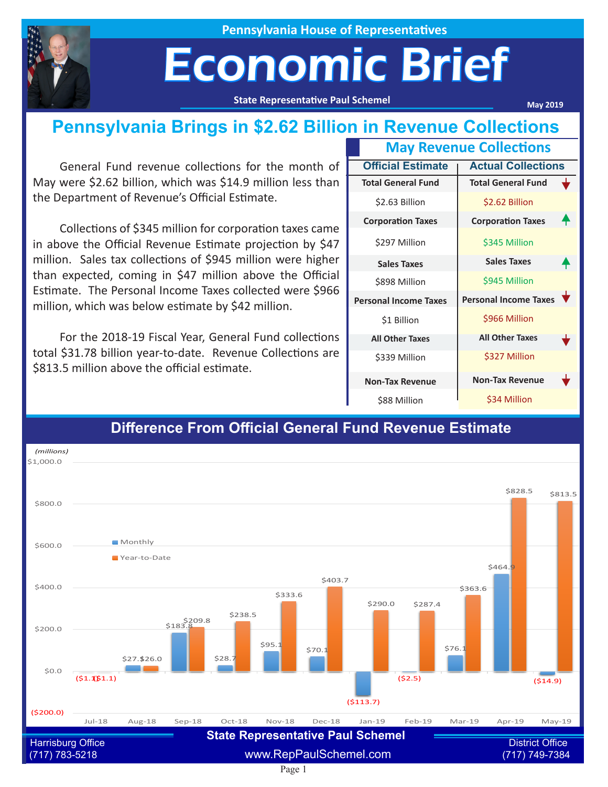

**Pennsylvania House of Representatives**

## Economic Brief

**State Representative Paul Schemel**

**May 2019**

### **Pennsylvania Brings in \$2.62 Billion in Revenue Collections**

General Fund revenue collections for the month of May were \$2.62 billion, which was \$14.9 million less than the Department of Revenue's Official Estimate.

Collections of \$345 million for corporation taxes came in above the Official Revenue Estimate projection by \$47 million. Sales tax collections of \$945 million were higher than expected, coming in \$47 million above the Official Estimate. The Personal Income Taxes collected were \$966 million, which was below estimate by \$42 million.

For the 2018-19 Fiscal Year, General Fund collections total \$31.78 billion year-to-date. Revenue Collections are \$813.5 million above the official estimate.

|                          | <b>May Revenue Collections</b> |                              |  |
|--------------------------|--------------------------------|------------------------------|--|
| <b>Official Estimate</b> |                                | <b>Actual Collections</b>    |  |
|                          | <b>Total General Fund</b>      | <b>Total General Fund</b>    |  |
|                          | \$2.63 Billion                 | \$2.62 Billion               |  |
|                          | <b>Corporation Taxes</b>       | <b>Corporation Taxes</b>     |  |
|                          | \$297 Million                  | \$345 Million                |  |
|                          | <b>Sales Taxes</b>             | <b>Sales Taxes</b>           |  |
|                          | \$898 Million                  | \$945 Million                |  |
|                          | <b>Personal Income Taxes</b>   | <b>Personal Income Taxes</b> |  |
|                          | \$1 Billion                    | \$966 Million                |  |
|                          | <b>All Other Taxes</b>         | <b>All Other Taxes</b>       |  |
|                          | \$339 Million                  | \$327 Million                |  |
|                          | <b>Non-Tax Revenue</b>         | <b>Non-Tax Revenue</b>       |  |
|                          | \$88 Million                   | \$34 Million                 |  |



#### **Difference From Official General Fund Revenue Estimate**